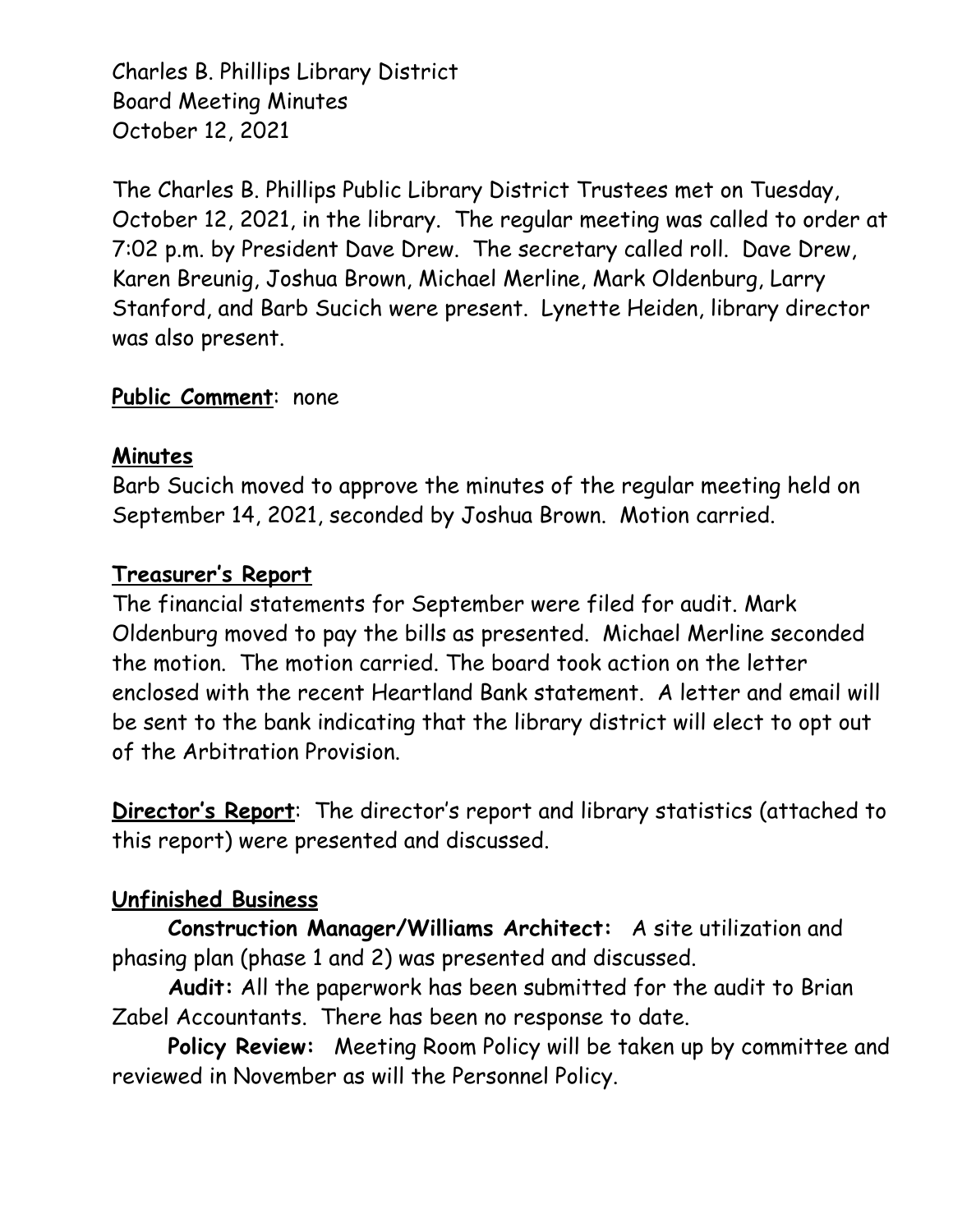Charles B. Phillips Library District Board Meeting Minutes October 12, 2021

The Charles B. Phillips Public Library District Trustees met on Tuesday, October 12, 2021, in the library. The regular meeting was called to order at 7:02 p.m. by President Dave Drew. The secretary called roll. Dave Drew, Karen Breunig, Joshua Brown, Michael Merline, Mark Oldenburg, Larry Stanford, and Barb Sucich were present. Lynette Heiden, library director was also present.

## **Public Comment**: none

## **Minutes**

Barb Sucich moved to approve the minutes of the regular meeting held on September 14, 2021, seconded by Joshua Brown. Motion carried.

## **Treasurer's Report**

The financial statements for September were filed for audit. Mark Oldenburg moved to pay the bills as presented. Michael Merline seconded the motion. The motion carried. The board took action on the letter enclosed with the recent Heartland Bank statement. A letter and email will be sent to the bank indicating that the library district will elect to opt out of the Arbitration Provision.

**Director's Report**: The director's report and library statistics (attached to this report) were presented and discussed.

## **Unfinished Business**

**Construction Manager/Williams Architect:** A site utilization and phasing plan (phase 1 and 2) was presented and discussed.

**Audit:** All the paperwork has been submitted for the audit to Brian Zabel Accountants. There has been no response to date.

**Policy Review:** Meeting Room Policy will be taken up by committee and reviewed in November as will the Personnel Policy.